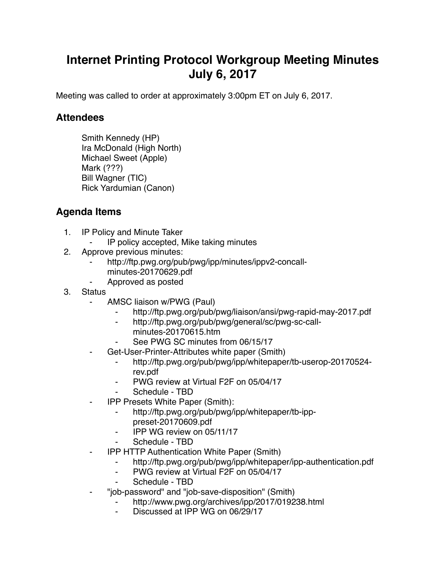## **Internet Printing Protocol Workgroup Meeting Minutes July 6, 2017**

Meeting was called to order at approximately 3:00pm ET on July 6, 2017.

## **Attendees**

Smith Kennedy (HP) Ira McDonald (High North) Michael Sweet (Apple) Mark (???) Bill Wagner (TIC) Rick Yardumian (Canon)

## **Agenda Items**

- 1. IP Policy and Minute Taker
	- IP policy accepted, Mike taking minutes
- 2. Approve previous minutes:
	- http://ftp.pwg.org/pub/pwg/ipp/minutes/ippv2-concallminutes-20170629.pdf
	- ⁃ Approved as posted
- 3. Status
	- ⁃ AMSC liaison w/PWG (Paul)
		- http://ftp.pwg.org/pub/pwg/liaison/ansi/pwg-rapid-may-2017.pdf
		- ⁃ http://ftp.pwg.org/pub/pwg/general/sc/pwg-sc-callminutes-20170615.htm
		- See PWG SC minutes from 06/15/17
	- Get-User-Printer-Attributes white paper (Smith)
		- ⁃ http://ftp.pwg.org/pub/pwg/ipp/whitepaper/tb-userop-20170524 rev.pdf
		- ⁃ PWG review at Virtual F2F on 05/04/17
		- Schedule TBD
	- **IPP Presets White Paper (Smith):** 
		- http://ftp.pwg.org/pub/pwg/ipp/whitepaper/tb-ipppreset-20170609.pdf
		- ⁃ IPP WG review on 05/11/17
		- Schedule TBD
	- ⁃ IPP HTTP Authentication White Paper (Smith)
		- ⁃ http://ftp.pwg.org/pub/pwg/ipp/whitepaper/ipp-authentication.pdf
		- ⁃ PWG review at Virtual F2F on 05/04/17
		- Schedule TBD
		- ⁃ "job-password" and "job-save-disposition" (Smith)
			- http://www.pwg.org/archives/ipp/2017/019238.html
				- Discussed at IPP WG on 06/29/17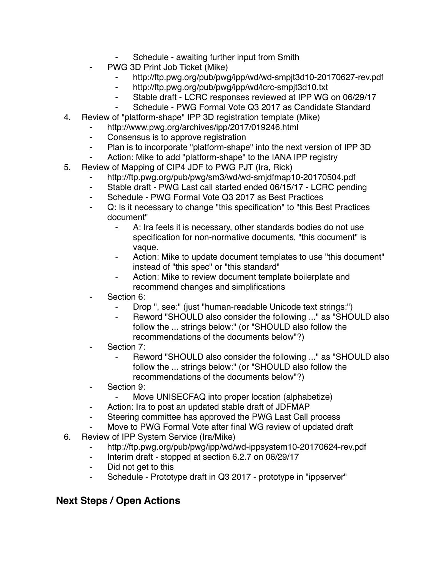- Schedule awaiting further input from Smith
- PWG 3D Print Job Ticket (Mike)
	- http://ftp.pwg.org/pub/pwg/ipp/wd/wd-smpjt3d10-20170627-rev.pdf
	- ⁃ http://ftp.pwg.org/pub/pwg/ipp/wd/lcrc-smpjt3d10.txt
	- ⁃ Stable draft LCRC responses reviewed at IPP WG on 06/29/17
	- Schedule PWG Formal Vote Q3 2017 as Candidate Standard
- 4. Review of "platform-shape" IPP 3D registration template (Mike)
	- http://www.pwg.org/archives/ipp/2017/019246.html
	- ⁃ Consensus is to approve registration
	- ⁃ Plan is to incorporate "platform-shape" into the next version of IPP 3D
	- Action: Mike to add "platform-shape" to the IANA IPP registry
- 5. Review of Mapping of CIP4 JDF to PWG PJT (Ira, Rick)
	- http://ftp.pwg.org/pub/pwg/sm3/wd/wd-smjdfmap10-20170504.pdf
	- ⁃ Stable draft PWG Last call started ended 06/15/17 LCRC pending
	- ⁃ Schedule PWG Formal Vote Q3 2017 as Best Practices
	- Q: Is it necessary to change "this specification" to "this Best Practices" document"
		- ⁃ A: Ira feels it is necessary, other standards bodies do not use specification for non-normative documents, "this document" is vaque.
		- Action: Mike to update document templates to use "this document" instead of "this spec" or "this standard"
		- Action: Mike to review document template boilerplate and recommend changes and simplifications
	- Section 6:
		- Drop ", see:" (just "human-readable Unicode text strings:")
		- ⁃ Reword "SHOULD also consider the following ..." as "SHOULD also follow the ... strings below:" (or "SHOULD also follow the recommendations of the documents below"?)
	- Section 7:
		- Reword "SHOULD also consider the following ..." as "SHOULD also follow the ... strings below:" (or "SHOULD also follow the recommendations of the documents below"?)
	- Section 9:
		- ⁃ Move UNISECFAQ into proper location (alphabetize)
	- Action: Ira to post an updated stable draft of JDFMAP
	- ⁃ Steering committee has approved the PWG Last Call process
	- Move to PWG Formal Vote after final WG review of updated draft
- 6. Review of IPP System Service (Ira/Mike)
	- http://ftp.pwg.org/pub/pwg/ipp/wd/wd-ippsystem10-20170624-rev.pdf
	- ⁃ Interim draft stopped at section 6.2.7 on 06/29/17
	- ⁃ Did not get to this
	- Schedule Prototype draft in Q3 2017 prototype in "ippserver"

## **Next Steps / Open Actions**